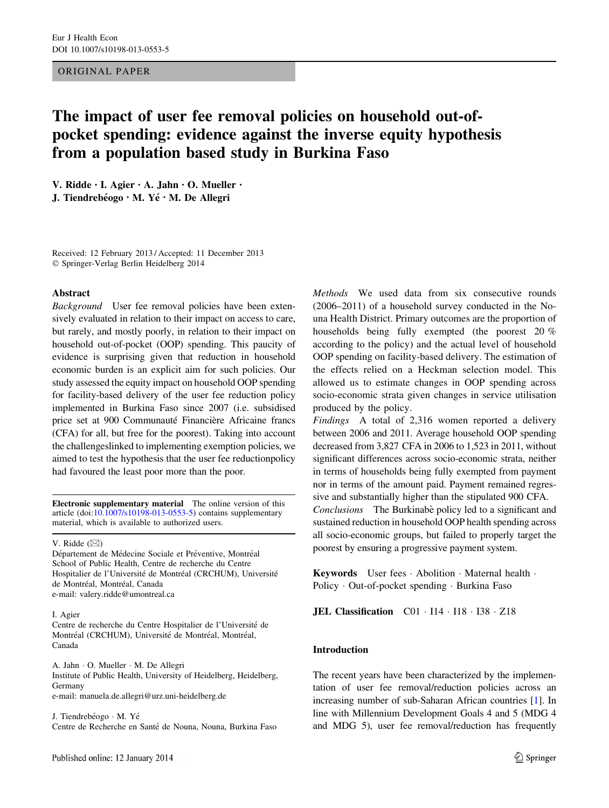## ORIGINAL PAPER

# The impact of user fee removal policies on household out-ofpocket spending: evidence against the inverse equity hypothesis from a population based study in Burkina Faso

V. Ridde • I. Agier • A. Jahn • O. Mueller • J. Tiendrebéogo · M. Yé · M. De Allegri

Received: 12 February 2013 / Accepted: 11 December 2013 - Springer-Verlag Berlin Heidelberg 2014

#### Abstract

Background User fee removal policies have been extensively evaluated in relation to their impact on access to care, but rarely, and mostly poorly, in relation to their impact on household out-of-pocket (OOP) spending. This paucity of evidence is surprising given that reduction in household economic burden is an explicit aim for such policies. Our study assessed the equity impact on household OOP spending for facility-based delivery of the user fee reduction policy implemented in Burkina Faso since 2007 (i.e. subsidised price set at 900 Communauté Financière Africaine francs (CFA) for all, but free for the poorest). Taking into account the challengeslinked to implementing exemption policies, we aimed to test the hypothesis that the user fee reductionpolicy had favoured the least poor more than the poor.

Electronic supplementary material The online version of this article (doi:[10.1007/s10198-013-0553-5\)](http://dx.doi.org/10.1007/s10198-013-0553-5) contains supplementary material, which is available to authorized users.

V. Ridde  $(\boxtimes)$ 

Département de Médecine Sociale et Préventive, Montréal School of Public Health, Centre de recherche du Centre Hospitalier de l'Université de Montréal (CRCHUM), Université de Montréal, Montréal, Canada e-mail: valery.ridde@umontreal.ca

#### I. Agier

Centre de recherche du Centre Hospitalier de l'Université de Montréal (CRCHUM), Université de Montréal, Montréal, Canada

A. Jahn - O. Mueller - M. De Allegri Institute of Public Health, University of Heidelberg, Heidelberg, Germany e-mail: manuela.de.allegri@urz.uni-heidelberg.de

J. Tiendrebéogo · M. Yé Centre de Recherche en Santé de Nouna, Nouna, Burkina Faso Methods We used data from six consecutive rounds (2006–2011) of a household survey conducted in the Nouna Health District. Primary outcomes are the proportion of households being fully exempted (the poorest 20 % according to the policy) and the actual level of household OOP spending on facility-based delivery. The estimation of the effects relied on a Heckman selection model. This allowed us to estimate changes in OOP spending across socio-economic strata given changes in service utilisation produced by the policy.

Findings A total of 2,316 women reported a delivery between 2006 and 2011. Average household OOP spending decreased from 3,827 CFA in 2006 to 1,523 in 2011, without significant differences across socio-economic strata, neither in terms of households being fully exempted from payment nor in terms of the amount paid. Payment remained regressive and substantially higher than the stipulated 900 CFA. Conclusions The Burkinabe policy led to a significant and sustained reduction in household OOP health spending across all socio-economic groups, but failed to properly target the poorest by ensuring a progressive payment system.

Keywords User fees · Abolition · Maternal health · Policy · Out-of-pocket spending · Burkina Faso

**JEL Classification**  $CO1 \cdot 114 \cdot 118 \cdot 138 \cdot 218$ 

#### Introduction

The recent years have been characterized by the implementation of user fee removal/reduction policies across an increasing number of sub-Saharan African countries [\[1](#page-8-0)]. In line with Millennium Development Goals 4 and 5 (MDG 4 and MDG 5), user fee removal/reduction has frequently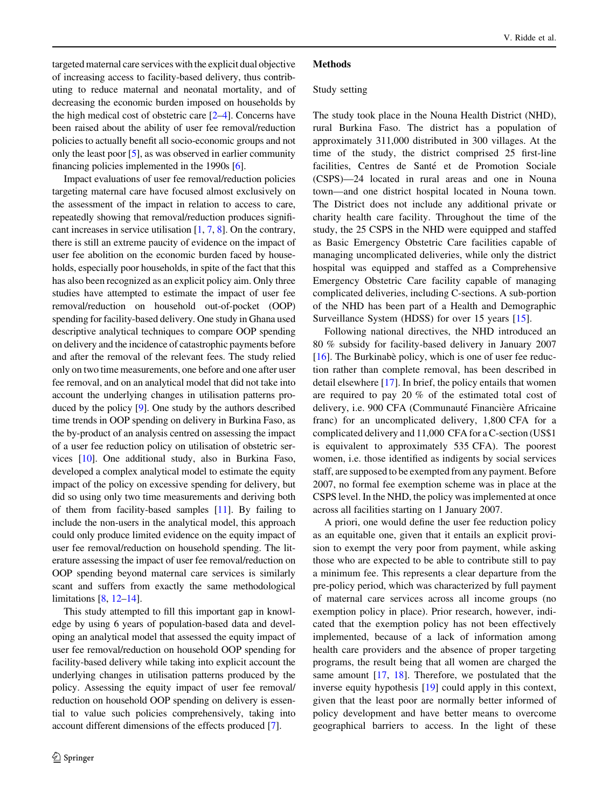targeted maternal care services with the explicit dual objective of increasing access to facility-based delivery, thus contributing to reduce maternal and neonatal mortality, and of decreasing the economic burden imposed on households by the high medical cost of obstetric care [[2–4](#page-8-0)]. Concerns have been raised about the ability of user fee removal/reduction policies to actually benefit all socio-economic groups and not only the least poor [[5\]](#page-8-0), as was observed in earlier community financing policies implemented in the 1990s [\[6](#page-8-0)].

Impact evaluations of user fee removal/reduction policies targeting maternal care have focused almost exclusively on the assessment of the impact in relation to access to care, repeatedly showing that removal/reduction produces significant increases in service utilisation [[1,](#page-8-0) [7](#page-8-0), [8](#page-8-0)]. On the contrary, there is still an extreme paucity of evidence on the impact of user fee abolition on the economic burden faced by households, especially poor households, in spite of the fact that this has also been recognized as an explicit policy aim. Only three studies have attempted to estimate the impact of user fee removal/reduction on household out-of-pocket (OOP) spending for facility-based delivery. One study in Ghana used descriptive analytical techniques to compare OOP spending on delivery and the incidence of catastrophic payments before and after the removal of the relevant fees. The study relied only on two time measurements, one before and one after user fee removal, and on an analytical model that did not take into account the underlying changes in utilisation patterns produced by the policy [[9](#page-8-0)]. One study by the authors described time trends in OOP spending on delivery in Burkina Faso, as the by-product of an analysis centred on assessing the impact of a user fee reduction policy on utilisation of obstetric services [\[10\]](#page-8-0). One additional study, also in Burkina Faso, developed a complex analytical model to estimate the equity impact of the policy on excessive spending for delivery, but did so using only two time measurements and deriving both of them from facility-based samples [[11\]](#page-8-0). By failing to include the non-users in the analytical model, this approach could only produce limited evidence on the equity impact of user fee removal/reduction on household spending. The literature assessing the impact of user fee removal/reduction on OOP spending beyond maternal care services is similarly scant and suffers from exactly the same methodological limitations [[8,](#page-8-0) [12–14](#page-8-0)].

This study attempted to fill this important gap in knowledge by using 6 years of population-based data and developing an analytical model that assessed the equity impact of user fee removal/reduction on household OOP spending for facility-based delivery while taking into explicit account the underlying changes in utilisation patterns produced by the policy. Assessing the equity impact of user fee removal/ reduction on household OOP spending on delivery is essential to value such policies comprehensively, taking into account different dimensions of the effects produced [\[7\]](#page-8-0).

#### **Methods**

#### Study setting

The study took place in the Nouna Health District (NHD), rural Burkina Faso. The district has a population of approximately 311,000 distributed in 300 villages. At the time of the study, the district comprised 25 first-line facilities, Centres de Santé et de Promotion Sociale (CSPS)—24 located in rural areas and one in Nouna town—and one district hospital located in Nouna town. The District does not include any additional private or charity health care facility. Throughout the time of the study, the 25 CSPS in the NHD were equipped and staffed as Basic Emergency Obstetric Care facilities capable of managing uncomplicated deliveries, while only the district hospital was equipped and staffed as a Comprehensive Emergency Obstetric Care facility capable of managing complicated deliveries, including C-sections. A sub-portion of the NHD has been part of a Health and Demographic Surveillance System (HDSS) for over 15 years [[15\]](#page-9-0).

Following national directives, the NHD introduced an 80 % subsidy for facility-based delivery in January 2007 [ $16$ ]. The Burkinabe` policy, which is one of user fee reduction rather than complete removal, has been described in detail elsewhere [\[17](#page-9-0)]. In brief, the policy entails that women are required to pay 20 % of the estimated total cost of delivery, i.e. 900 CFA (Communauté Financière Africaine franc) for an uncomplicated delivery, 1,800 CFA for a complicated delivery and 11,000 CFA for a C-section (US\$1 is equivalent to approximately 535 CFA). The poorest women, i.e. those identified as indigents by social services staff, are supposed to be exempted from any payment. Before 2007, no formal fee exemption scheme was in place at the CSPS level. In the NHD, the policy was implemented at once across all facilities starting on 1 January 2007.

A priori, one would define the user fee reduction policy as an equitable one, given that it entails an explicit provision to exempt the very poor from payment, while asking those who are expected to be able to contribute still to pay a minimum fee. This represents a clear departure from the pre-policy period, which was characterized by full payment of maternal care services across all income groups (no exemption policy in place). Prior research, however, indicated that the exemption policy has not been effectively implemented, because of a lack of information among health care providers and the absence of proper targeting programs, the result being that all women are charged the same amount [[17,](#page-9-0) [18](#page-9-0)]. Therefore, we postulated that the inverse equity hypothesis [[19\]](#page-9-0) could apply in this context, given that the least poor are normally better informed of policy development and have better means to overcome geographical barriers to access. In the light of these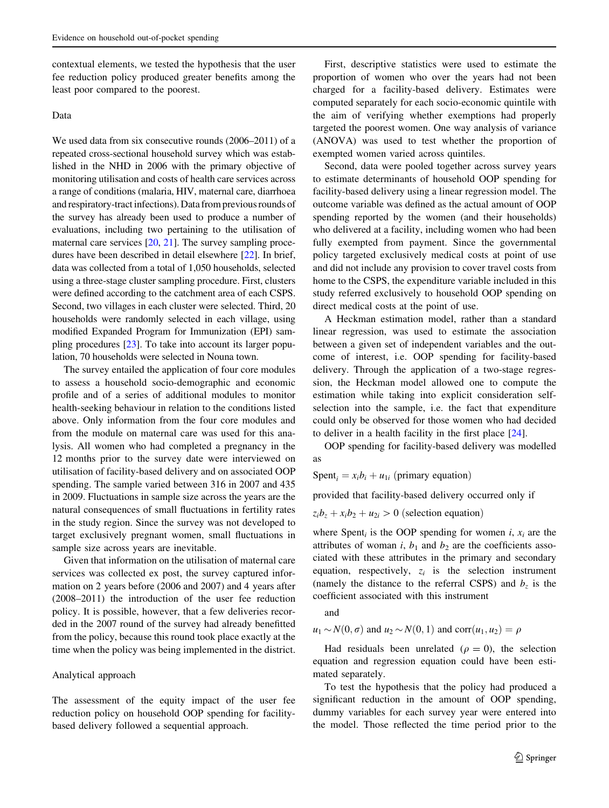contextual elements, we tested the hypothesis that the user fee reduction policy produced greater benefits among the least poor compared to the poorest.

## Data

We used data from six consecutive rounds (2006–2011) of a repeated cross-sectional household survey which was established in the NHD in 2006 with the primary objective of monitoring utilisation and costs of health care services across a range of conditions (malaria, HIV, maternal care, diarrhoea and respiratory-tract infections). Data from previous rounds of the survey has already been used to produce a number of evaluations, including two pertaining to the utilisation of maternal care services [\[20,](#page-9-0) [21\]](#page-9-0). The survey sampling procedures have been described in detail elsewhere [[22\]](#page-9-0). In brief, data was collected from a total of 1,050 households, selected using a three-stage cluster sampling procedure. First, clusters were defined according to the catchment area of each CSPS. Second, two villages in each cluster were selected. Third, 20 households were randomly selected in each village, using modified Expanded Program for Immunization (EPI) sampling procedures [[23](#page-9-0)]. To take into account its larger population, 70 households were selected in Nouna town.

The survey entailed the application of four core modules to assess a household socio-demographic and economic profile and of a series of additional modules to monitor health-seeking behaviour in relation to the conditions listed above. Only information from the four core modules and from the module on maternal care was used for this analysis. All women who had completed a pregnancy in the 12 months prior to the survey date were interviewed on utilisation of facility-based delivery and on associated OOP spending. The sample varied between 316 in 2007 and 435 in 2009. Fluctuations in sample size across the years are the natural consequences of small fluctuations in fertility rates in the study region. Since the survey was not developed to target exclusively pregnant women, small fluctuations in sample size across years are inevitable.

Given that information on the utilisation of maternal care services was collected ex post, the survey captured information on 2 years before (2006 and 2007) and 4 years after (2008–2011) the introduction of the user fee reduction policy. It is possible, however, that a few deliveries recorded in the 2007 round of the survey had already benefitted from the policy, because this round took place exactly at the time when the policy was being implemented in the district.

#### Analytical approach

The assessment of the equity impact of the user fee reduction policy on household OOP spending for facilitybased delivery followed a sequential approach.

First, descriptive statistics were used to estimate the proportion of women who over the years had not been charged for a facility-based delivery. Estimates were computed separately for each socio-economic quintile with the aim of verifying whether exemptions had properly targeted the poorest women. One way analysis of variance (ANOVA) was used to test whether the proportion of exempted women varied across quintiles.

Second, data were pooled together across survey years to estimate determinants of household OOP spending for facility-based delivery using a linear regression model. The outcome variable was defined as the actual amount of OOP spending reported by the women (and their households) who delivered at a facility, including women who had been fully exempted from payment. Since the governmental policy targeted exclusively medical costs at point of use and did not include any provision to cover travel costs from home to the CSPS, the expenditure variable included in this study referred exclusively to household OOP spending on direct medical costs at the point of use.

A Heckman estimation model, rather than a standard linear regression, was used to estimate the association between a given set of independent variables and the outcome of interest, i.e. OOP spending for facility-based delivery. Through the application of a two-stage regression, the Heckman model allowed one to compute the estimation while taking into explicit consideration selfselection into the sample, i.e. the fact that expenditure could only be observed for those women who had decided to deliver in a health facility in the first place [\[24](#page-9-0)].

OOP spending for facility-based delivery was modelled as

Spent<sub>i</sub> =  $x_i b_i + u_{1i}$  (primary equation)

provided that facility-based delivery occurred only if

 $z_i b_z + x_i b_2 + u_{2i} > 0$  (selection equation)

where Spent<sub>i</sub> is the OOP spending for women i,  $x_i$  are the attributes of woman i,  $b_1$  and  $b_2$  are the coefficients associated with these attributes in the primary and secondary equation, respectively,  $z_i$  is the selection instrument (namely the distance to the referral CSPS) and  $b<sub>z</sub>$  is the coefficient associated with this instrument

and

 $u_1 \sim N(0, \sigma)$  and  $u_2 \sim N(0, 1)$  and corr $(u_1, u_2) = \rho$ 

Had residuals been unrelated ( $\rho = 0$ ), the selection equation and regression equation could have been estimated separately.

To test the hypothesis that the policy had produced a significant reduction in the amount of OOP spending, dummy variables for each survey year were entered into the model. Those reflected the time period prior to the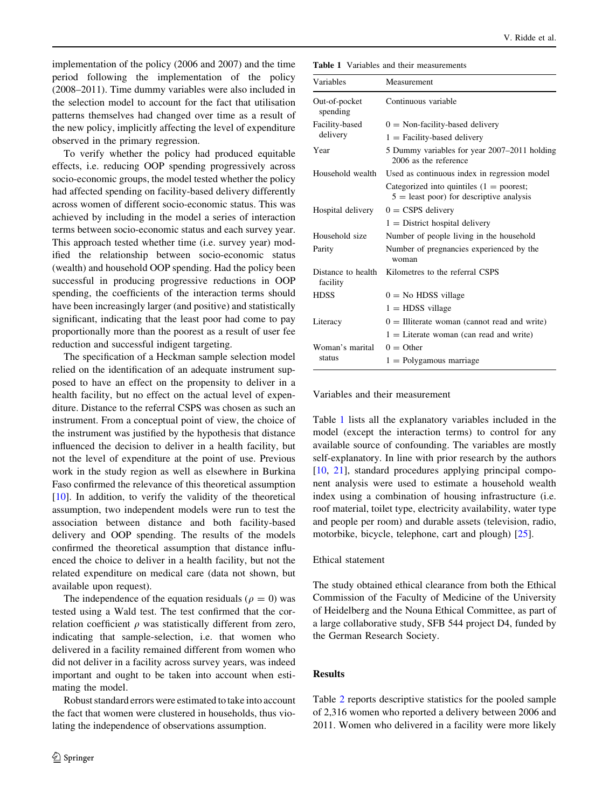implementation of the policy (2006 and 2007) and the time period following the implementation of the policy (2008–2011). Time dummy variables were also included in the selection model to account for the fact that utilisation patterns themselves had changed over time as a result of the new policy, implicitly affecting the level of expenditure observed in the primary regression.

To verify whether the policy had produced equitable effects, i.e. reducing OOP spending progressively across socio-economic groups, the model tested whether the policy had affected spending on facility-based delivery differently across women of different socio-economic status. This was achieved by including in the model a series of interaction terms between socio-economic status and each survey year. This approach tested whether time (i.e. survey year) modified the relationship between socio-economic status (wealth) and household OOP spending. Had the policy been successful in producing progressive reductions in OOP spending, the coefficients of the interaction terms should have been increasingly larger (and positive) and statistically significant, indicating that the least poor had come to pay proportionally more than the poorest as a result of user fee reduction and successful indigent targeting.

The specification of a Heckman sample selection model relied on the identification of an adequate instrument supposed to have an effect on the propensity to deliver in a health facility, but no effect on the actual level of expenditure. Distance to the referral CSPS was chosen as such an instrument. From a conceptual point of view, the choice of the instrument was justified by the hypothesis that distance influenced the decision to deliver in a health facility, but not the level of expenditure at the point of use. Previous work in the study region as well as elsewhere in Burkina Faso confirmed the relevance of this theoretical assumption  $[10]$  $[10]$ . In addition, to verify the validity of the theoretical assumption, two independent models were run to test the association between distance and both facility-based delivery and OOP spending. The results of the models confirmed the theoretical assumption that distance influenced the choice to deliver in a health facility, but not the related expenditure on medical care (data not shown, but available upon request).

The independence of the equation residuals ( $\rho = 0$ ) was tested using a Wald test. The test confirmed that the correlation coefficient  $\rho$  was statistically different from zero, indicating that sample-selection, i.e. that women who delivered in a facility remained different from women who did not deliver in a facility across survey years, was indeed important and ought to be taken into account when estimating the model.

Robust standard errors were estimated to take into account the fact that women were clustered in households, thus violating the independence of observations assumption.

Table 1 Variables and their measurements

| Variables                      | Measurement                                                                              |  |  |  |
|--------------------------------|------------------------------------------------------------------------------------------|--|--|--|
| Out-of-pocket<br>spending      | Continuous variable                                                                      |  |  |  |
| Facility-based                 | $0 =$ Non-facility-based delivery                                                        |  |  |  |
| delivery                       | $1 =$ Facility-based delivery                                                            |  |  |  |
| Year                           | 5 Dummy variables for year 2007–2011 holding<br>2006 as the reference                    |  |  |  |
| Household wealth               | Used as continuous index in regression model                                             |  |  |  |
|                                | Categorized into quintiles $(1 =$ poorest;<br>$5 =$ least poor) for descriptive analysis |  |  |  |
| Hospital delivery              | $0 =$ CSPS delivery                                                                      |  |  |  |
|                                | $1 =$ District hospital delivery                                                         |  |  |  |
| Household size                 | Number of people living in the household                                                 |  |  |  |
| Parity                         | Number of pregnancies experienced by the<br>woman                                        |  |  |  |
| Distance to health<br>facility | Kilometres to the referral CSPS                                                          |  |  |  |
| <b>HDSS</b>                    | $0 =$ No HDSS village                                                                    |  |  |  |
|                                | $1 =$ HDSS village                                                                       |  |  |  |
| Literacy                       | $0 =$ Illiterate woman (cannot read and write)                                           |  |  |  |
|                                | $1 =$ Literate woman (can read and write)                                                |  |  |  |
| Woman's marital                | $0 =$ Other                                                                              |  |  |  |
| status                         | $1 =$ Polygamous marriage                                                                |  |  |  |

## Variables and their measurement

Table 1 lists all the explanatory variables included in the model (except the interaction terms) to control for any available source of confounding. The variables are mostly self-explanatory. In line with prior research by the authors [\[10](#page-8-0), [21\]](#page-9-0), standard procedures applying principal component analysis were used to estimate a household wealth index using a combination of housing infrastructure (i.e. roof material, toilet type, electricity availability, water type and people per room) and durable assets (television, radio, motorbike, bicycle, telephone, cart and plough) [[25\]](#page-9-0).

#### Ethical statement

The study obtained ethical clearance from both the Ethical Commission of the Faculty of Medicine of the University of Heidelberg and the Nouna Ethical Committee, as part of a large collaborative study, SFB 544 project D4, funded by the German Research Society.

### Results

Table [2](#page-4-0) reports descriptive statistics for the pooled sample of 2,316 women who reported a delivery between 2006 and 2011. Women who delivered in a facility were more likely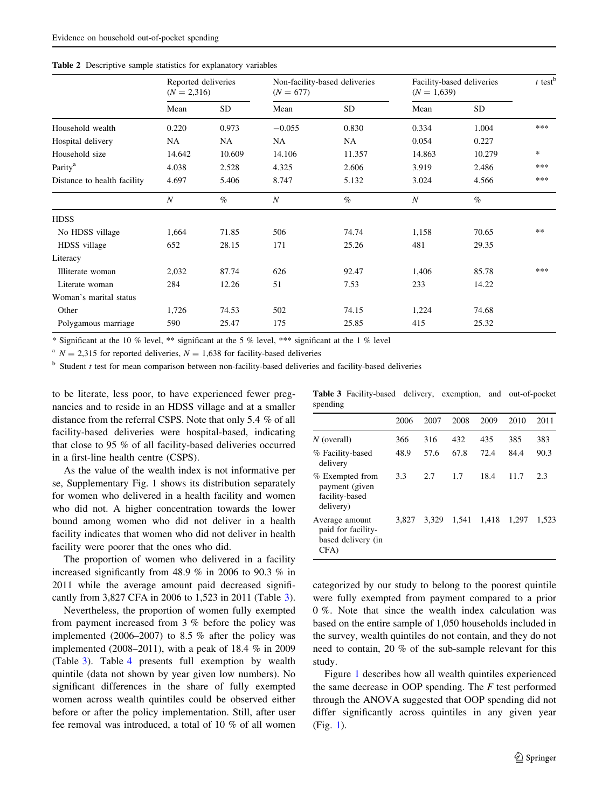|                             | Reported deliveries<br>$(N = 2,316)$ |        | Non-facility-based deliveries<br>$(N = 677)$ |        | Facility-based deliveries<br>$(N = 1,639)$ |        | $t$ test <sup>b</sup> |
|-----------------------------|--------------------------------------|--------|----------------------------------------------|--------|--------------------------------------------|--------|-----------------------|
|                             | Mean                                 | SD     | Mean                                         | SD     | Mean                                       | SD     |                       |
| Household wealth            | 0.220                                | 0.973  | $-0.055$                                     | 0.830  | 0.334                                      | 1.004  | ***                   |
| Hospital delivery           | NA                                   | NA     | NA                                           | NA     | 0.054                                      | 0.227  |                       |
| Household size              | 14.642                               | 10.609 | 14.106                                       | 11.357 | 14.863                                     | 10.279 | *                     |
| Parity <sup>a</sup>         | 4.038                                | 2.528  | 4.325                                        | 2.606  | 3.919                                      | 2.486  | ***                   |
| Distance to health facility | 4.697                                | 5.406  | 8.747                                        | 5.132  | 3.024                                      | 4.566  | ***                   |
|                             | $\boldsymbol{N}$                     | $\%$   | $\boldsymbol{N}$                             | $\%$   | $\boldsymbol{N}$                           | $\%$   |                       |
| <b>HDSS</b>                 |                                      |        |                                              |        |                                            |        |                       |
| No HDSS village             | 1,664                                | 71.85  | 506                                          | 74.74  | 1,158                                      | 70.65  | $**$                  |
| HDSS village                | 652                                  | 28.15  | 171                                          | 25.26  | 481                                        | 29.35  |                       |
| Literacy                    |                                      |        |                                              |        |                                            |        |                       |
| Illiterate woman            | 2,032                                | 87.74  | 626                                          | 92.47  | 1,406                                      | 85.78  | ***                   |
| Literate woman              | 284                                  | 12.26  | 51                                           | 7.53   | 233                                        | 14.22  |                       |
| Woman's marital status      |                                      |        |                                              |        |                                            |        |                       |
| Other                       | 1,726                                | 74.53  | 502                                          | 74.15  | 1,224                                      | 74.68  |                       |
| Polygamous marriage         | 590                                  | 25.47  | 175                                          | 25.85  | 415                                        | 25.32  |                       |

<span id="page-4-0"></span>Table 2 Descriptive sample statistics for explanatory variables

\* Significant at the 10 % level, \*\* significant at the 5 % level, \*\*\* significant at the 1 % level

<sup>a</sup>  $N = 2.315$  for reported deliveries,  $N = 1.638$  for facility-based deliveries

 $<sup>b</sup>$  Student t test for mean comparison between non-facility-based deliveries and facility-based deliveries</sup>

to be literate, less poor, to have experienced fewer pregnancies and to reside in an HDSS village and at a smaller distance from the referral CSPS. Note that only 5.4 % of all facility-based deliveries were hospital-based, indicating that close to 95 % of all facility-based deliveries occurred in a first-line health centre (CSPS).

As the value of the wealth index is not informative per se, Supplementary Fig. 1 shows its distribution separately for women who delivered in a health facility and women who did not. A higher concentration towards the lower bound among women who did not deliver in a health facility indicates that women who did not deliver in health facility were poorer that the ones who did.

The proportion of women who delivered in a facility increased significantly from 48.9 % in 2006 to 90.3 % in 2011 while the average amount paid decreased significantly from 3,827 CFA in 2006 to 1,523 in 2011 (Table 3).

Nevertheless, the proportion of women fully exempted from payment increased from 3 % before the policy was implemented (2006–2007) to 8.5 % after the policy was implemented (2008–2011), with a peak of 18.4 % in 2009 (Table 3). Table [4](#page-5-0) presents full exemption by wealth quintile (data not shown by year given low numbers). No significant differences in the share of fully exempted women across wealth quintiles could be observed either before or after the policy implementation. Still, after user fee removal was introduced, a total of 10 % of all women Table 3 Facility-based delivery, exemption, and out-of-pocket spending

|                                                                    | 2006  | 2007  | 2008  | 2009  | 2010  | 2011  |
|--------------------------------------------------------------------|-------|-------|-------|-------|-------|-------|
| N (overall)                                                        | 366   | 316   | 432   | 435   | 385   | 383   |
| % Facility-based<br>delivery                                       | 48.9  | 57.6  | 67.8  | 72.4  | 84.4  | 90.3  |
| % Exempted from<br>payment (given<br>facility-based<br>delivery)   | 3.3   | 2.7   | 1.7   | 18.4  | 11.7  | 2.3   |
| Average amount<br>paid for facility-<br>based delivery (in<br>CFA) | 3.827 | 3.329 | 1.541 | 1.418 | 1.297 | 1.523 |

categorized by our study to belong to the poorest quintile were fully exempted from payment compared to a prior 0 %. Note that since the wealth index calculation was based on the entire sample of 1,050 households included in the survey, wealth quintiles do not contain, and they do not need to contain, 20 % of the sub-sample relevant for this study.

Figure [1](#page-5-0) describes how all wealth quintiles experienced the same decrease in OOP spending. The  $F$  test performed through the ANOVA suggested that OOP spending did not differ significantly across quintiles in any given year (Fig. [1\)](#page-5-0).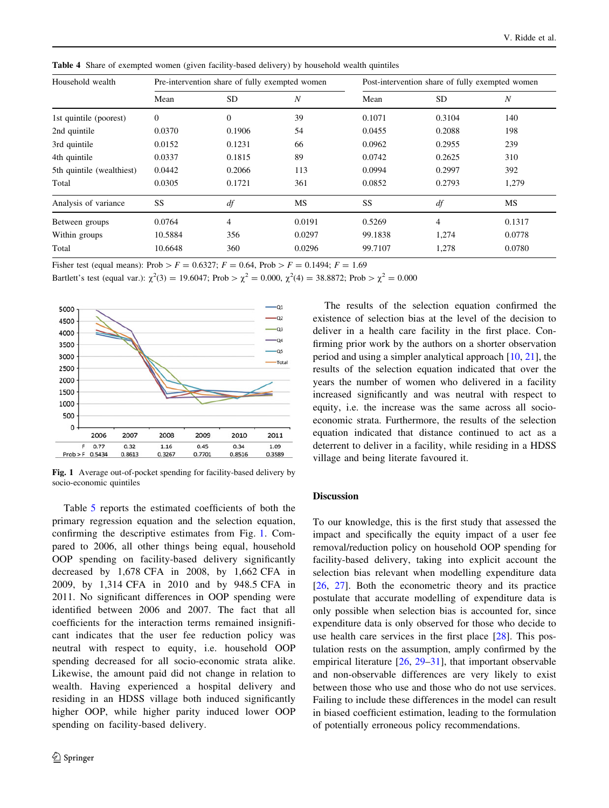Household wealth Pre-intervention share of fully exempted women Post-intervention share of fully exempted women Mean  $SD$   $N$  Mean  $SD$   $N$ 1st quintile (poorest) 0 0 0 39 0.1071 0.3104 140 2nd quintile **0.0370** 0.1906 54 0.0455 0.2088 198 3rd quintile **0.0152** 0.1231 66 0.0962 0.2955 239 4th quintile **0.0337** 0.1815 89 0.0742 0.2625 310 5th quintile (wealthiest)  $0.0442$  0.2066 113 0.0994 0.2997 392 Total 0.0305 0.1721 361 0.0852 0.2793 1,279 Analysis of variance SS df MS SS df MS Between groups 0.0764 4 0.0191 0.5269 4 0.1317 Within groups 10.5884 356 0.0297 99.1838 1,274 0.0778 Total 10.6648 360 0.0296 99.7107 1,278 0.0780

<span id="page-5-0"></span>Table 4 Share of exempted women (given facility-based delivery) by household wealth quintiles

Fisher test (equal means): Prob >  $F = 0.6327$ ;  $F = 0.64$ , Prob >  $F = 0.1494$ ;  $F = 1.69$ 

Bartlett's test (equal var.):  $\chi^2(3) = 19.6047$ ; Prob >  $\chi^2 = 0.000$ ,  $\chi^2(4) = 38.8872$ ; Prob >  $\chi^2 = 0.000$ 



Fig. 1 Average out-of-pocket spending for facility-based delivery by socio-economic quintiles

Table [5](#page-6-0) reports the estimated coefficients of both the primary regression equation and the selection equation, confirming the descriptive estimates from Fig. 1. Compared to 2006, all other things being equal, household OOP spending on facility-based delivery significantly decreased by 1,678 CFA in 2008, by 1,662 CFA in 2009, by 1,314 CFA in 2010 and by 948.5 CFA in 2011. No significant differences in OOP spending were identified between 2006 and 2007. The fact that all coefficients for the interaction terms remained insignificant indicates that the user fee reduction policy was neutral with respect to equity, i.e. household OOP spending decreased for all socio-economic strata alike. Likewise, the amount paid did not change in relation to wealth. Having experienced a hospital delivery and residing in an HDSS village both induced significantly higher OOP, while higher parity induced lower OOP spending on facility-based delivery.

The results of the selection equation confirmed the existence of selection bias at the level of the decision to deliver in a health care facility in the first place. Confirming prior work by the authors on a shorter observation period and using a simpler analytical approach [[10,](#page-8-0) [21\]](#page-9-0), the results of the selection equation indicated that over the years the number of women who delivered in a facility increased significantly and was neutral with respect to equity, i.e. the increase was the same across all socioeconomic strata. Furthermore, the results of the selection equation indicated that distance continued to act as a deterrent to deliver in a facility, while residing in a HDSS village and being literate favoured it.

## Discussion

To our knowledge, this is the first study that assessed the impact and specifically the equity impact of a user fee removal/reduction policy on household OOP spending for facility-based delivery, taking into explicit account the selection bias relevant when modelling expenditure data [\[26](#page-9-0), [27](#page-9-0)]. Both the econometric theory and its practice postulate that accurate modelling of expenditure data is only possible when selection bias is accounted for, since expenditure data is only observed for those who decide to use health care services in the first place [\[28](#page-9-0)]. This postulation rests on the assumption, amply confirmed by the empirical literature [\[26](#page-9-0), [29–31](#page-9-0)], that important observable and non-observable differences are very likely to exist between those who use and those who do not use services. Failing to include these differences in the model can result in biased coefficient estimation, leading to the formulation of potentially erroneous policy recommendations.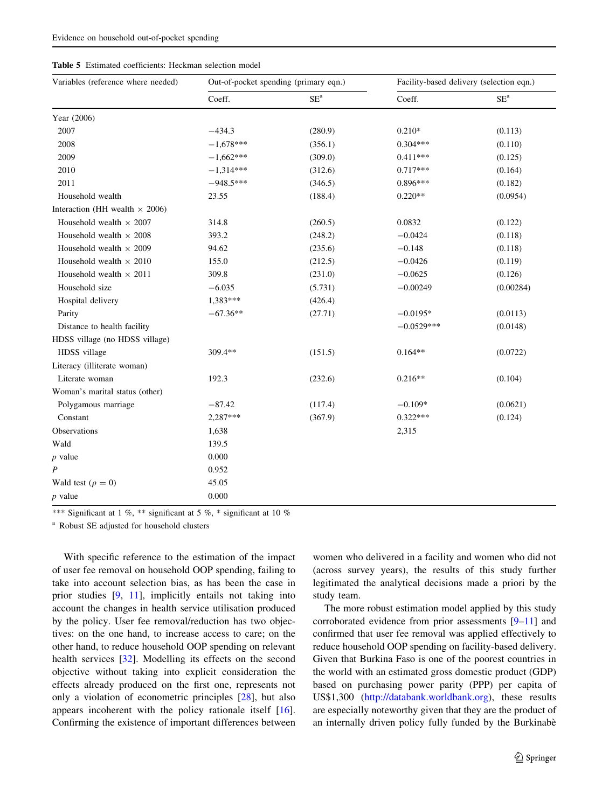<span id="page-6-0"></span>

|  |  | <b>Table 5</b> Estimated coefficients: Heckman selection model |  |  |  |
|--|--|----------------------------------------------------------------|--|--|--|
|--|--|----------------------------------------------------------------|--|--|--|

| Variables (reference where needed)    | Out-of-pocket spending (primary eqn.) |         | Facility-based delivery (selection eqn.) |            |  |
|---------------------------------------|---------------------------------------|---------|------------------------------------------|------------|--|
|                                       | Coeff.                                | $SE^a$  | Coeff.                                   | $\rm SE^a$ |  |
| Year (2006)                           |                                       |         |                                          |            |  |
| 2007                                  | $-434.3$                              | (280.9) | $0.210*$                                 | (0.113)    |  |
| 2008                                  | $-1,678***$                           | (356.1) | $0.304***$                               | (0.110)    |  |
| 2009                                  | $-1,662***$                           | (309.0) | $0.411***$                               | (0.125)    |  |
| 2010                                  | $-1,314***$                           | (312.6) | $0.717***$                               | (0.164)    |  |
| 2011                                  | $-948.5***$                           | (346.5) | $0.896***$                               | (0.182)    |  |
| Household wealth                      | 23.55                                 | (188.4) | $0.220**$                                | (0.0954)   |  |
| Interaction (HH wealth $\times$ 2006) |                                       |         |                                          |            |  |
| Household wealth $\times$ 2007        | 314.8                                 | (260.5) | 0.0832                                   | (0.122)    |  |
| Household wealth $\times$ 2008        | 393.2                                 | (248.2) | $-0.0424$                                | (0.118)    |  |
| Household wealth $\times$ 2009        | 94.62                                 | (235.6) | $-0.148$                                 | (0.118)    |  |
| Household wealth $\times$ 2010        | 155.0                                 | (212.5) | $-0.0426$                                | (0.119)    |  |
| Household wealth $\times$ 2011        | 309.8                                 | (231.0) | $-0.0625$                                | (0.126)    |  |
| Household size                        | $-6.035$                              | (5.731) | $-0.00249$                               | (0.00284)  |  |
| Hospital delivery                     | 1,383***                              | (426.4) |                                          |            |  |
| Parity                                | $-67.36**$                            | (27.71) | $-0.0195*$                               | (0.0113)   |  |
| Distance to health facility           |                                       |         | $-0.0529***$                             | (0.0148)   |  |
| HDSS village (no HDSS village)        |                                       |         |                                          |            |  |
| HDSS village                          | 309.4**                               | (151.5) | $0.164**$                                | (0.0722)   |  |
| Literacy (illiterate woman)           |                                       |         |                                          |            |  |
| Literate woman                        | 192.3                                 | (232.6) | $0.216**$                                | (0.104)    |  |
| Woman's marital status (other)        |                                       |         |                                          |            |  |
| Polygamous marriage                   | $-87.42$                              | (117.4) | $-0.109*$                                | (0.0621)   |  |
| Constant                              | 2,287***                              | (367.9) | $0.322***$                               | (0.124)    |  |
| Observations                          | 1,638                                 |         | 2,315                                    |            |  |
| Wald                                  | 139.5                                 |         |                                          |            |  |
| $p$ value                             | 0.000                                 |         |                                          |            |  |
| $\boldsymbol{P}$                      | 0.952                                 |         |                                          |            |  |
| Wald test ( $\rho = 0$ )              | 45.05                                 |         |                                          |            |  |
| $p$ value                             | 0.000                                 |         |                                          |            |  |

\*\*\* Significant at 1 %, \*\* significant at 5 %, \* significant at 10 %

<sup>a</sup> Robust SE adjusted for household clusters

With specific reference to the estimation of the impact of user fee removal on household OOP spending, failing to take into account selection bias, as has been the case in prior studies [[9,](#page-8-0) [11](#page-8-0)], implicitly entails not taking into account the changes in health service utilisation produced by the policy. User fee removal/reduction has two objectives: on the one hand, to increase access to care; on the other hand, to reduce household OOP spending on relevant health services [[32\]](#page-9-0). Modelling its effects on the second objective without taking into explicit consideration the effects already produced on the first one, represents not only a violation of econometric principles [[28\]](#page-9-0), but also appears incoherent with the policy rationale itself [\[16](#page-9-0)]. Confirming the existence of important differences between women who delivered in a facility and women who did not (across survey years), the results of this study further legitimated the analytical decisions made a priori by the study team.

The more robust estimation model applied by this study corroborated evidence from prior assessments [[9–11\]](#page-8-0) and confirmed that user fee removal was applied effectively to reduce household OOP spending on facility-based delivery. Given that Burkina Faso is one of the poorest countries in the world with an estimated gross domestic product (GDP) based on purchasing power parity (PPP) per capita of US\$1,300 ([http://databank.worldbank.org\)](http://databank.worldbank.org), these results are especially noteworthy given that they are the product of an internally driven policy fully funded by the Burkinabè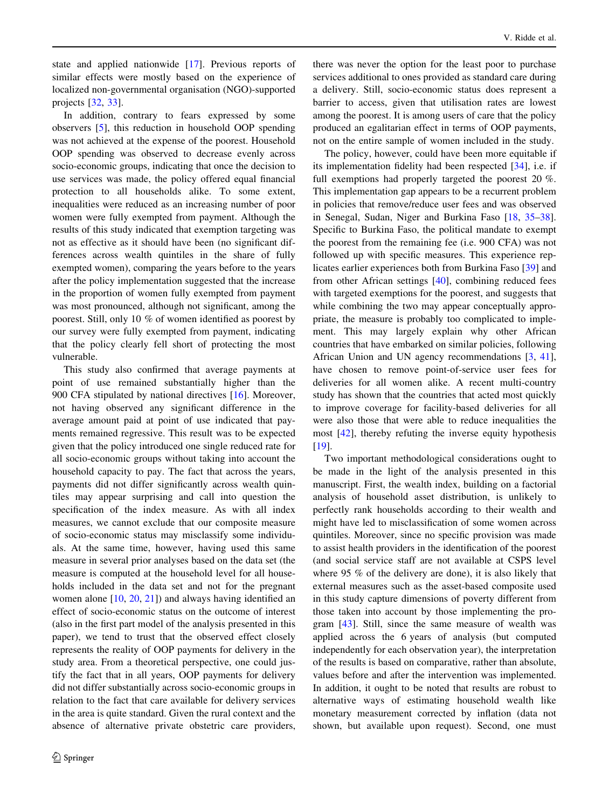state and applied nationwide [[17\]](#page-9-0). Previous reports of similar effects were mostly based on the experience of localized non-governmental organisation (NGO)-supported projects [\[32](#page-9-0), [33](#page-9-0)].

In addition, contrary to fears expressed by some observers [[5\]](#page-8-0), this reduction in household OOP spending was not achieved at the expense of the poorest. Household OOP spending was observed to decrease evenly across socio-economic groups, indicating that once the decision to use services was made, the policy offered equal financial protection to all households alike. To some extent, inequalities were reduced as an increasing number of poor women were fully exempted from payment. Although the results of this study indicated that exemption targeting was not as effective as it should have been (no significant differences across wealth quintiles in the share of fully exempted women), comparing the years before to the years after the policy implementation suggested that the increase in the proportion of women fully exempted from payment was most pronounced, although not significant, among the poorest. Still, only 10 % of women identified as poorest by our survey were fully exempted from payment, indicating that the policy clearly fell short of protecting the most vulnerable.

This study also confirmed that average payments at point of use remained substantially higher than the 900 CFA stipulated by national directives [\[16](#page-9-0)]. Moreover, not having observed any significant difference in the average amount paid at point of use indicated that payments remained regressive. This result was to be expected given that the policy introduced one single reduced rate for all socio-economic groups without taking into account the household capacity to pay. The fact that across the years, payments did not differ significantly across wealth quintiles may appear surprising and call into question the specification of the index measure. As with all index measures, we cannot exclude that our composite measure of socio-economic status may misclassify some individuals. At the same time, however, having used this same measure in several prior analyses based on the data set (the measure is computed at the household level for all households included in the data set and not for the pregnant women alone [\[10](#page-8-0), [20](#page-9-0), [21\]](#page-9-0)) and always having identified an effect of socio-economic status on the outcome of interest (also in the first part model of the analysis presented in this paper), we tend to trust that the observed effect closely represents the reality of OOP payments for delivery in the study area. From a theoretical perspective, one could justify the fact that in all years, OOP payments for delivery did not differ substantially across socio-economic groups in relation to the fact that care available for delivery services in the area is quite standard. Given the rural context and the absence of alternative private obstetric care providers,

there was never the option for the least poor to purchase services additional to ones provided as standard care during a delivery. Still, socio-economic status does represent a barrier to access, given that utilisation rates are lowest among the poorest. It is among users of care that the policy produced an egalitarian effect in terms of OOP payments, not on the entire sample of women included in the study.

The policy, however, could have been more equitable if its implementation fidelity had been respected [[34\]](#page-9-0), i.e. if full exemptions had properly targeted the poorest 20 %. This implementation gap appears to be a recurrent problem in policies that remove/reduce user fees and was observed in Senegal, Sudan, Niger and Burkina Faso [[18,](#page-9-0) [35–38](#page-9-0)]. Specific to Burkina Faso, the political mandate to exempt the poorest from the remaining fee (i.e. 900 CFA) was not followed up with specific measures. This experience replicates earlier experiences both from Burkina Faso [[39\]](#page-9-0) and from other African settings [\[40](#page-9-0)], combining reduced fees with targeted exemptions for the poorest, and suggests that while combining the two may appear conceptually appropriate, the measure is probably too complicated to implement. This may largely explain why other African countries that have embarked on similar policies, following African Union and UN agency recommendations [\[3](#page-8-0), [41](#page-9-0)], have chosen to remove point-of-service user fees for deliveries for all women alike. A recent multi-country study has shown that the countries that acted most quickly to improve coverage for facility-based deliveries for all were also those that were able to reduce inequalities the most [\[42\]](#page-9-0), thereby refuting the inverse equity hypothesis [\[19](#page-9-0)].

Two important methodological considerations ought to be made in the light of the analysis presented in this manuscript. First, the wealth index, building on a factorial analysis of household asset distribution, is unlikely to perfectly rank households according to their wealth and might have led to misclassification of some women across quintiles. Moreover, since no specific provision was made to assist health providers in the identification of the poorest (and social service staff are not available at CSPS level where 95 % of the delivery are done), it is also likely that external measures such as the asset-based composite used in this study capture dimensions of poverty different from those taken into account by those implementing the program [[43\]](#page-9-0). Still, since the same measure of wealth was applied across the 6 years of analysis (but computed independently for each observation year), the interpretation of the results is based on comparative, rather than absolute, values before and after the intervention was implemented. In addition, it ought to be noted that results are robust to alternative ways of estimating household wealth like monetary measurement corrected by inflation (data not shown, but available upon request). Second, one must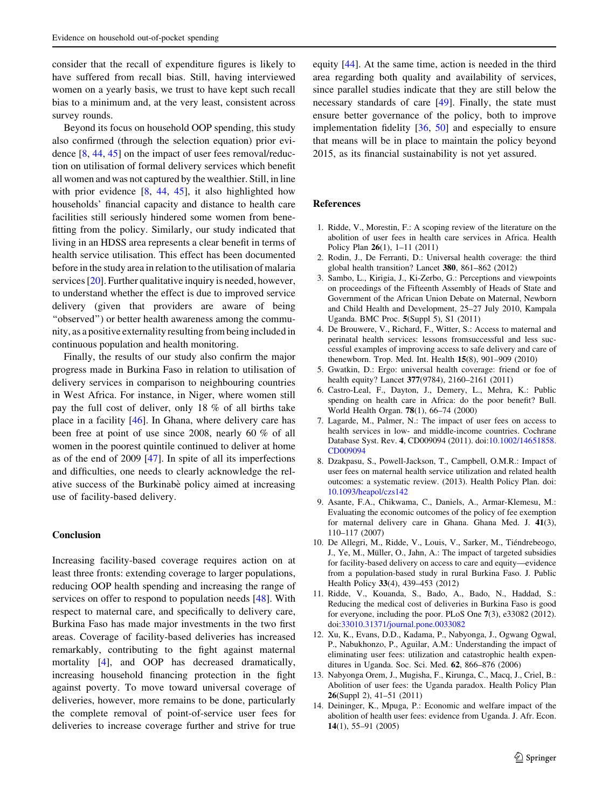<span id="page-8-0"></span>consider that the recall of expenditure figures is likely to have suffered from recall bias. Still, having interviewed women on a yearly basis, we trust to have kept such recall bias to a minimum and, at the very least, consistent across survey rounds.

Beyond its focus on household OOP spending, this study also confirmed (through the selection equation) prior evidence [8, [44](#page-9-0), [45\]](#page-9-0) on the impact of user fees removal/reduction on utilisation of formal delivery services which benefit all women and was not captured by the wealthier. Still, in line with prior evidence  $[8, 44, 45]$  $[8, 44, 45]$  $[8, 44, 45]$  $[8, 44, 45]$  $[8, 44, 45]$ , it also highlighted how households' financial capacity and distance to health care facilities still seriously hindered some women from benefitting from the policy. Similarly, our study indicated that living in an HDSS area represents a clear benefit in terms of health service utilisation. This effect has been documented before in the study area in relation to the utilisation of malaria services [\[20](#page-9-0)]. Further qualitative inquiry is needed, however, to understand whether the effect is due to improved service delivery (given that providers are aware of being "observed") or better health awareness among the community, as a positive externality resulting from being included in continuous population and health monitoring.

Finally, the results of our study also confirm the major progress made in Burkina Faso in relation to utilisation of delivery services in comparison to neighbouring countries in West Africa. For instance, in Niger, where women still pay the full cost of deliver, only 18 % of all births take place in a facility [\[46](#page-9-0)]. In Ghana, where delivery care has been free at point of use since 2008, nearly 60 % of all women in the poorest quintile continued to deliver at home as of the end of 2009 [[47\]](#page-9-0). In spite of all its imperfections and difficulties, one needs to clearly acknowledge the relative success of the Burkinabè policy aimed at increasing use of facility-based delivery.

## **Conclusion**

Increasing facility-based coverage requires action on at least three fronts: extending coverage to larger populations, reducing OOP health spending and increasing the range of services on offer to respond to population needs [[48\]](#page-9-0). With respect to maternal care, and specifically to delivery care, Burkina Faso has made major investments in the two first areas. Coverage of facility-based deliveries has increased remarkably, contributing to the fight against maternal mortality [4], and OOP has decreased dramatically, increasing household financing protection in the fight against poverty. To move toward universal coverage of deliveries, however, more remains to be done, particularly the complete removal of point-of-service user fees for deliveries to increase coverage further and strive for true equity [\[44](#page-9-0)]. At the same time, action is needed in the third area regarding both quality and availability of services, since parallel studies indicate that they are still below the necessary standards of care [\[49](#page-9-0)]. Finally, the state must ensure better governance of the policy, both to improve implementation fidelity [\[36](#page-9-0), [50\]](#page-9-0) and especially to ensure that means will be in place to maintain the policy beyond 2015, as its financial sustainability is not yet assured.

## References

- 1. Ridde, V., Morestin, F.: A scoping review of the literature on the abolition of user fees in health care services in Africa. Health Policy Plan 26(1), 1–11 (2011)
- 2. Rodin, J., De Ferranti, D.: Universal health coverage: the third global health transition? Lancet 380, 861–862 (2012)
- 3. Sambo, L., Kirigia, J., Ki-Zerbo, G.: Perceptions and viewpoints on proceedings of the Fifteenth Assembly of Heads of State and Government of the African Union Debate on Maternal, Newborn and Child Health and Development, 25–27 July 2010, Kampala Uganda. BMC Proc. 5(Suppl 5), S1 (2011)
- 4. De Brouwere, V., Richard, F., Witter, S.: Access to maternal and perinatal health services: lessons fromsuccessful and less successful examples of improving access to safe delivery and care of thenewborn. Trop. Med. Int. Health 15(8), 901–909 (2010)
- 5. Gwatkin, D.: Ergo: universal health coverage: friend or foe of health equity? Lancet 377(9784), 2160–2161 (2011)
- 6. Castro-Leal, F., Dayton, J., Demery, L., Mehra, K.: Public spending on health care in Africa: do the poor benefit? Bull. World Health Organ. 78(1), 66–74 (2000)
- 7. Lagarde, M., Palmer, N.: The impact of user fees on access to health services in low- and middle-income countries. Cochrane Database Syst. Rev. 4, CD009094 (2011). doi[:10.1002/14651858.](http://dx.doi.org/10.1002/14651858.CD009094) [CD009094](http://dx.doi.org/10.1002/14651858.CD009094)
- 8. Dzakpasu, S., Powell-Jackson, T., Campbell, O.M.R.: Impact of user fees on maternal health service utilization and related health outcomes: a systematic review. (2013). Health Policy Plan. doi: [10.1093/heapol/czs142](http://dx.doi.org/10.1093/heapol/czs142)
- 9. Asante, F.A., Chikwama, C., Daniels, A., Armar-Klemesu, M.: Evaluating the economic outcomes of the policy of fee exemption for maternal delivery care in Ghana. Ghana Med. J. 41(3), 110–117 (2007)
- 10. De Allegri, M., Ridde, V., Louis, V., Sarker, M., Tiéndrebeogo, J., Ye, M., Müller, O., Jahn, A.: The impact of targeted subsidies for facility-based delivery on access to care and equity—evidence from a population-based study in rural Burkina Faso. J. Public Health Policy 33(4), 439–453 (2012)
- 11. Ridde, V., Kouanda, S., Bado, A., Bado, N., Haddad, S.: Reducing the medical cost of deliveries in Burkina Faso is good for everyone, including the poor. PLoS One 7(3), e33082 (2012). doi:[33010.31371/journal.pone.0033082](http://dx.doi.org/33010.31371/journal.pone.0033082)
- 12. Xu, K., Evans, D.D., Kadama, P., Nabyonga, J., Ogwang Ogwal, P., Nabukhonzo, P., Aguilar, A.M.: Understanding the impact of eliminating user fees: utilization and catastrophic health expenditures in Uganda. Soc. Sci. Med. 62, 866–876 (2006)
- 13. Nabyonga Orem, J., Mugisha, F., Kirunga, C., Macq, J., Criel, B.: Abolition of user fees: the Uganda paradox. Health Policy Plan 26(Suppl 2), 41–51 (2011)
- 14. Deininger, K., Mpuga, P.: Economic and welfare impact of the abolition of health user fees: evidence from Uganda. J. Afr. Econ. 14(1), 55–91 (2005)